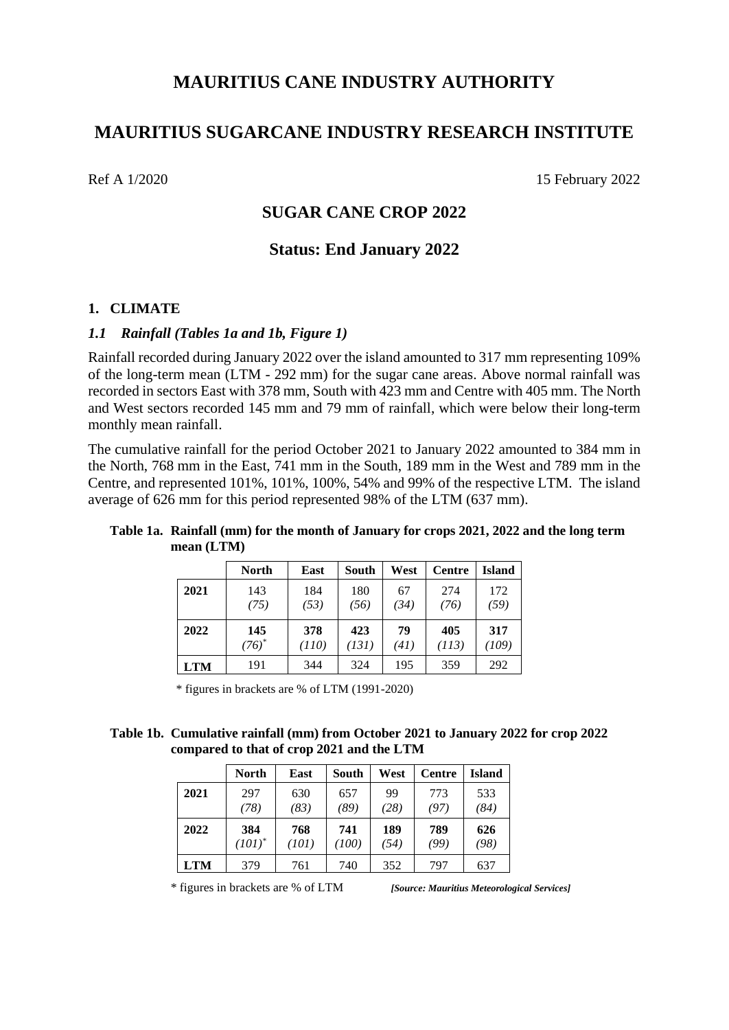# **MAURITIUS CANE INDUSTRY AUTHORITY**

# **MAURITIUS SUGARCANE INDUSTRY RESEARCH INSTITUTE**

Ref A 1/2020 15 February 2022

# **SUGAR CANE CROP 2022**

# **Status: End January 2022**

# **1. CLIMATE**

## *1.1 Rainfall (Tables 1a and 1b, Figure 1)*

Rainfall recorded during January 2022 over the island amounted to 317 mm representing 109% of the long-term mean (LTM - 292 mm) for the sugar cane areas. Above normal rainfall was recorded in sectors East with 378 mm, South with 423 mm and Centre with 405 mm. The North and West sectors recorded 145 mm and 79 mm of rainfall, which were below their long-term monthly mean rainfall.

The cumulative rainfall for the period October 2021 to January 2022 amounted to 384 mm in the North, 768 mm in the East, 741 mm in the South, 189 mm in the West and 789 mm in the Centre, and represented 101%, 101%, 100%, 54% and 99% of the respective LTM. The island average of 626 mm for this period represented 98% of the LTM (637 mm).

# **Table 1a. Rainfall (mm) for the month of January for crops 2021, 2022 and the long term mean (LTM) North East South West Centre Island**

|      | <b>North</b> | East  | South | West | <b>Centre</b> | <b>Island</b> |
|------|--------------|-------|-------|------|---------------|---------------|
| 2021 | 143          | 184   | 180   | 67   | 274           | 172           |
|      | (75)         | (53)  | (56)  | (34) | (76)          | (59)          |
|      |              |       |       |      |               |               |
| 2022 | 145          | 378   | 423   | 79   | 405           | 317           |
|      | $(76)^*$     | (110) | (131) | (41) | (113)         | (109)         |

\* figures in brackets are % of LTM (1991-2020)

#### **Table 1b. Cumulative rainfall (mm) from October 2021 to January 2022 for crop 2022 compared to that of crop 2021 and the LTM**

|            | <b>North</b> | East  | South | West | <b>Centre</b> | <b>Island</b> |
|------------|--------------|-------|-------|------|---------------|---------------|
| 2021       | 297          | 630   | 657   | 99   | 773           | 533           |
|            | (78)         | (83)  | (89)  | 28)  | (97)          | (84)          |
| 2022       | 384          | 768   | 741   | 189  | 789           | 626           |
|            | $(101)^{*}$  | (101) | (100) | (54) | (99)          | (98)          |
| <b>LTM</b> | 379          | 761   | 740   | 352  | 797           | 637           |

\* figures in brackets are % of LTM *[Source: Mauritius Meteorological Services]*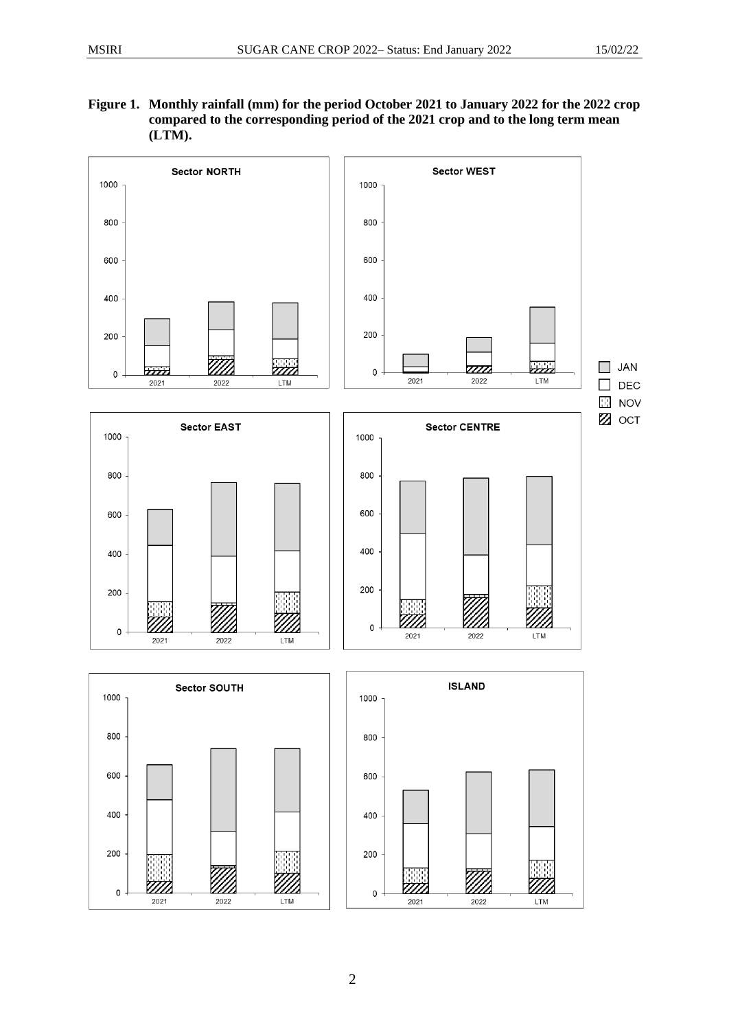200

 $\pmb{0}$ 

<u>VIII.</u>

2021

**Figure 1. Monthly rainfall (mm) for the period October 2021 to January 2022 for the 2022 crop compared to the corresponding period of the 2021 crop and to the long term mean (LTM).**



LTM

2022

200

 $\mathsf{O}\xspace$ 

<u> 7777</u>

2021

.<br>M

2022

<u>M1</u>

LTM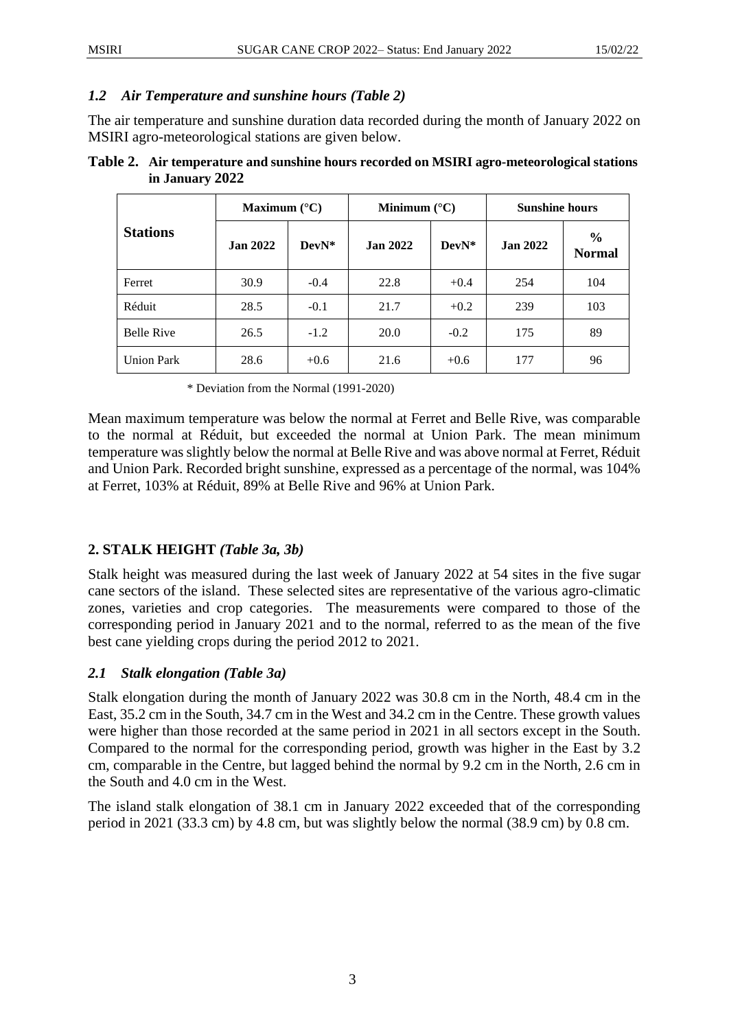### *1.2 Air Temperature and sunshine hours (Table 2)*

The air temperature and sunshine duration data recorded during the month of January 2022 on MSIRI agro-meteorological stations are given below.

| Table 2. Air temperature and sunshine hours recorded on MSIRI agro-meteorological stations |
|--------------------------------------------------------------------------------------------|
| in January 2022                                                                            |

|                   | Maximum $(^{\circ}C)$ |        | Minimum $(^{\circ}C)$ |         | <b>Sunshine hours</b> |                                |
|-------------------|-----------------------|--------|-----------------------|---------|-----------------------|--------------------------------|
| <b>Stations</b>   | <b>Jan 2022</b>       | DevN*  | <b>Jan 2022</b>       | $DevN*$ | <b>Jan 2022</b>       | $\frac{0}{0}$<br><b>Normal</b> |
| Ferret            | 30.9                  | $-0.4$ | 22.8                  | $+0.4$  | 254                   | 104                            |
| Réduit            | 28.5                  | $-0.1$ | 21.7                  | $+0.2$  | 239                   | 103                            |
| <b>Belle Rive</b> | 26.5                  | $-1.2$ | 20.0                  | $-0.2$  | 175                   | 89                             |
| <b>Union Park</b> | 28.6                  | $+0.6$ | 21.6                  | $+0.6$  | 177                   | 96                             |

\* Deviation from the Normal (1991-2020)

Mean maximum temperature was below the normal at Ferret and Belle Rive, was comparable to the normal at Réduit, but exceeded the normal at Union Park. The mean minimum temperature was slightly below the normal at Belle Rive and was above normal at Ferret, Réduit and Union Park. Recorded bright sunshine, expressed as a percentage of the normal, was 104% at Ferret, 103% at Réduit, 89% at Belle Rive and 96% at Union Park.

# **2. STALK HEIGHT** *(Table 3a, 3b)*

Stalk height was measured during the last week of January 2022 at 54 sites in the five sugar cane sectors of the island. These selected sites are representative of the various agro-climatic zones, varieties and crop categories. The measurements were compared to those of the corresponding period in January 2021 and to the normal, referred to as the mean of the five best cane yielding crops during the period 2012 to 2021.

# *2.1 Stalk elongation (Table 3a)*

Stalk elongation during the month of January 2022 was 30.8 cm in the North, 48.4 cm in the East, 35.2 cm in the South, 34.7 cm in the West and 34.2 cm in the Centre. These growth values were higher than those recorded at the same period in 2021 in all sectors except in the South. Compared to the normal for the corresponding period, growth was higher in the East by 3.2 cm, comparable in the Centre, but lagged behind the normal by 9.2 cm in the North, 2.6 cm in the South and 4.0 cm in the West.

The island stalk elongation of 38.1 cm in January 2022 exceeded that of the corresponding period in 2021 (33.3 cm) by 4.8 cm, but was slightly below the normal (38.9 cm) by 0.8 cm.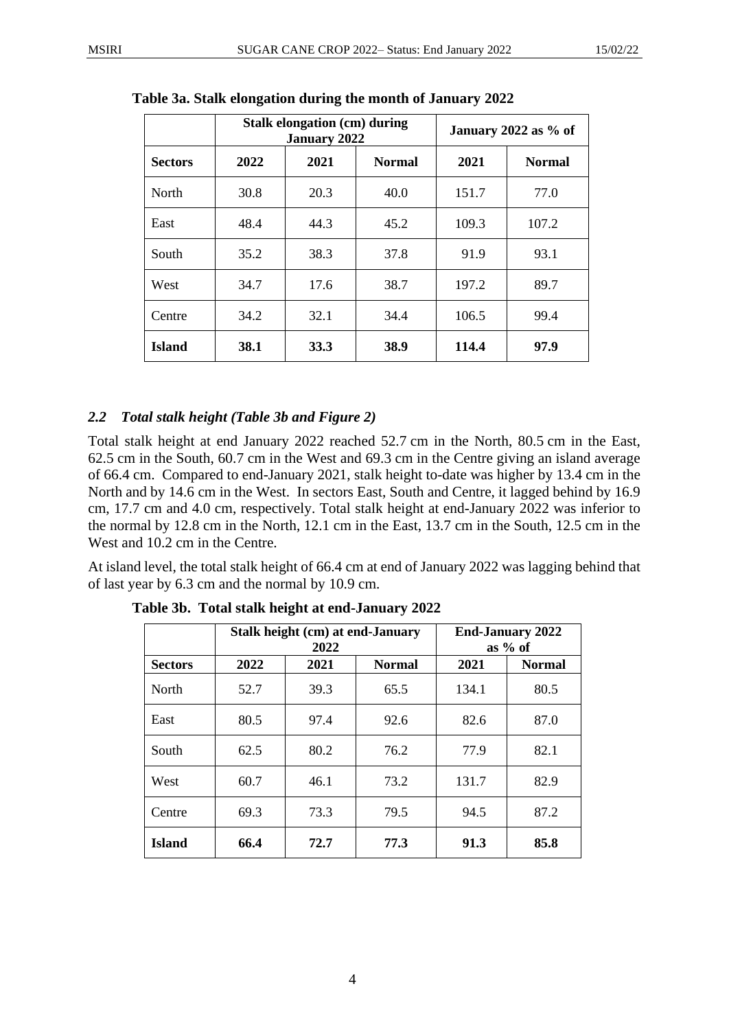|                |             | Stalk elongation (cm) during<br><b>January 2022</b> | January 2022 as % of |       |               |
|----------------|-------------|-----------------------------------------------------|----------------------|-------|---------------|
| <b>Sectors</b> | 2022        | 2021                                                | <b>Normal</b>        | 2021  | <b>Normal</b> |
| <b>North</b>   | 30.8        | 20.3                                                | 40.0                 | 151.7 | 77.0          |
| East           | 48.4        | 44.3                                                | 45.2                 | 109.3 | 107.2         |
| South          | 35.2        | 38.3                                                | 37.8                 | 91.9  | 93.1          |
| West           | 34.7        | 17.6                                                | 38.7                 | 197.2 | 89.7          |
| Centre         | 34.2        | 32.1                                                | 34.4                 | 106.5 | 99.4          |
| <b>Island</b>  | <b>38.1</b> | 33.3                                                | 38.9                 | 114.4 | 97.9          |

**Table 3a. Stalk elongation during the month of January 2022**

## *2.2 Total stalk height (Table 3b and Figure 2)*

Total stalk height at end January 2022 reached 52.7 cm in the North, 80.5 cm in the East, 62.5 cm in the South, 60.7 cm in the West and 69.3 cm in the Centre giving an island average of 66.4 cm. Compared to end-January 2021, stalk height to-date was higher by 13.4 cm in the North and by 14.6 cm in the West. In sectors East, South and Centre, it lagged behind by 16.9 cm, 17.7 cm and 4.0 cm, respectively. Total stalk height at end-January 2022 was inferior to the normal by 12.8 cm in the North, 12.1 cm in the East, 13.7 cm in the South, 12.5 cm in the West and 10.2 cm in the Centre.

At island level, the total stalk height of 66.4 cm at end of January 2022 was lagging behind that of last year by 6.3 cm and the normal by 10.9 cm.

|                |      | Stalk height (cm) at end-January<br>2022 |               | <b>End-January 2022</b><br>as $%$ of |               |  |
|----------------|------|------------------------------------------|---------------|--------------------------------------|---------------|--|
| <b>Sectors</b> | 2022 | 2021                                     | <b>Normal</b> | 2021                                 | <b>Normal</b> |  |
| <b>North</b>   | 52.7 | 39.3                                     | 65.5          | 134.1                                | 80.5          |  |
| East           | 80.5 | 97.4                                     | 92.6          | 82.6                                 | 87.0          |  |
| South          | 62.5 | 80.2                                     | 76.2          | 77.9                                 | 82.1          |  |
| West           | 60.7 | 46.1                                     | 73.2          | 131.7                                | 82.9          |  |
| Centre         | 69.3 | 73.3                                     | 79.5          | 94.5                                 | 87.2          |  |
| <b>Island</b>  | 66.4 | 72.7                                     | 77.3          | 91.3                                 | 85.8          |  |

**Table 3b. Total stalk height at end-January 2022**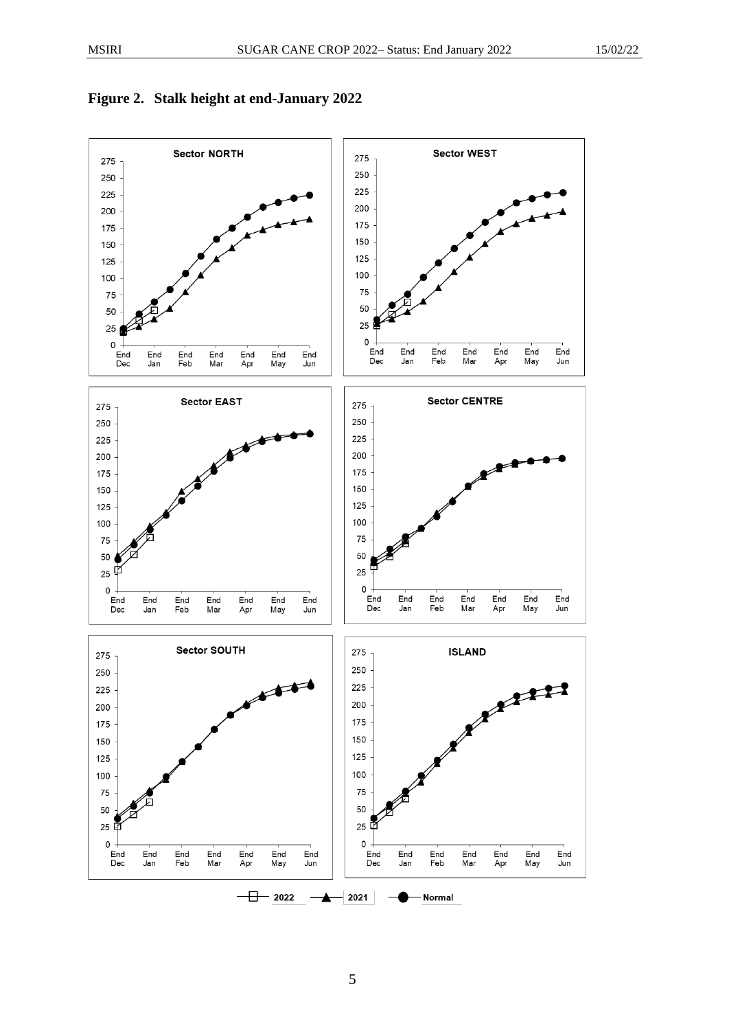

#### **Figure 2. Stalk height at end-January 2022**